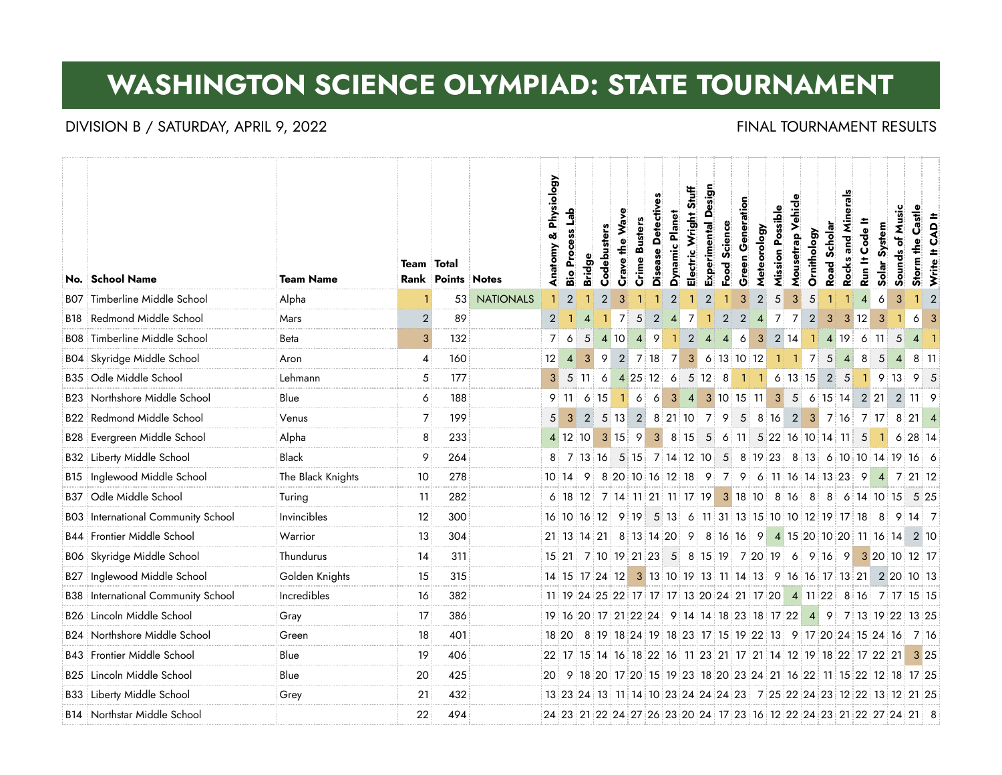# **WASHINGTON SCIENCE OLYMPIAD: STATE TOURNAMENT**

### DIVISION B / SATURDAY, APRIL 9, 2022 **FINAL TOURNAMENT RESULTS**

|            |                                           |                   |                   |                          |                  | Anatomy & Physiology | Process Lab             |                    |                                             |                |                      | Disease Detectives |                      | Stuff           | Design                  | Science        | Generation     |                |                         | Mousetrap Vehicle                                     |             |                 | <b>Rocks and Minerals</b> | Code It         |                                                                  |                 |                                                                     |                         |
|------------|-------------------------------------------|-------------------|-------------------|--------------------------|------------------|----------------------|-------------------------|--------------------|---------------------------------------------|----------------|----------------------|--------------------|----------------------|-----------------|-------------------------|----------------|----------------|----------------|-------------------------|-------------------------------------------------------|-------------|-----------------|---------------------------|-----------------|------------------------------------------------------------------|-----------------|---------------------------------------------------------------------|-------------------------|
|            | No. School Name                           | <b>Team Name</b>  | <b>Team</b> Total | <b>Rank Points Notes</b> |                  |                      | Bio                     | <b>Bridge</b>      | Codebusters                                 | Crave the Wave | <b>Crime Busters</b> |                    | Dynamic Planet       | Electric Wright | Experimental            | Food           | Green          | Meteorology    | <b>Mission Possible</b> |                                                       | Ornithology | Road Scholar    |                           | Run It          | Solar System                                                     | Sounds of Music | Storm the Castle                                                    | Write It CAD It         |
| BO7        | Timberline Middle School                  | Alpha             |                   | 53                       | <b>NATIONALS</b> |                      | $\overline{2}$          |                    | $\overline{2}$                              | 3              |                      |                    | $\overline{2}$       |                 |                         |                | 3              | $\overline{2}$ | 5                       | 3 <sup>1</sup>                                        | 5           |                 |                           | $\overline{4}$  | 6                                                                | 3               | $\mathbf{1}$                                                        | $\overline{2}$          |
| <b>B18</b> | Redmond Middle School                     | Mars              | $\overline{2}$    | 89                       |                  | $\overline{2}$       |                         |                    |                                             | $\overline{7}$ | 5                    | $\overline{2}$     | $\vert$              | $\overline{7}$  | $\mathbf{1}$            | $\overline{2}$ | $\overline{2}$ | $\vert$        | $\overline{7}$          | $\overline{7}$                                        | $\vert$ 2   | 3 <sup>1</sup>  |                           | $3 \mid 12$     | 3                                                                |                 | 6                                                                   | $\overline{\mathbf{3}}$ |
| BO8        | Timberline Middle School                  | <b>Beta</b>       | 3                 | 132                      |                  | $\overline{7}$       | 6                       | 5                  | 4 10                                        |                | $\vert$              | 9                  | $\mathbf{1}$         | $\overline{2}$  | $\overline{4}$          | $\vert$ 4      | 6              | 3              |                         | 2 14                                                  | - 11        |                 |                           | 4 19 6 11       |                                                                  | 5               | $4 \mid 1$                                                          |                         |
| BO4        | Skyridge Middle School                    | Aron              | 4                 | 160                      |                  | 12                   | $\vert$                 | $\vert 3 \vert$    | 9                                           | $\overline{2}$ | 7 18                 |                    | $\overline{7}$       | 3 <sup>1</sup>  | 6 13 10 12              |                |                |                |                         | 1117                                                  |             | $5\overline{)}$ | $\vert$ 4                 | 8               | 5                                                                | $\overline{4}$  | 8 11                                                                |                         |
|            | B35 Odle Middle School                    | Lehmann           | 5                 | 177                      |                  |                      |                         | $5 \mid 11 \mid 6$ |                                             |                |                      |                    |                      |                 | 4 25 12 6 5 12 8        |                |                |                |                         | $1 \quad 1 \quad 6 \quad 13 \quad 15 \quad 2 \quad 5$ |             |                 |                           |                 | $1 \quad 9 \quad 13$                                             |                 | $9 \mid 5$                                                          |                         |
|            | Northshore Middle School                  | Blue              | 6                 | 188                      |                  | 9                    | i 11 i                  | 6:15               |                                             | 116            |                      | $\vert 6 \vert$    |                      |                 |                         |                |                |                |                         |                                                       |             |                 |                           |                 | 3 4 3 10 15 11 3 5 6 15 14 2 21 2                                |                 | 11:9                                                                |                         |
|            | <b>B22 Redmond Middle School</b>          | Venus             | 7                 | 199                      |                  | 5                    | $\overline{\mathbf{3}}$ |                    |                                             |                |                      |                    |                      |                 |                         |                |                |                |                         |                                                       |             |                 |                           |                 |                                                                  |                 | 2 5 13 2 8 21 10 7 9 5 8 16 2 3 7 16 7 17 8 21 4                    |                         |
|            | <b>B28 Evergreen Middle School</b>        | Alpha             | 8                 | 233                      |                  |                      | 4 12 10                 |                    | $3 \ 15 \ 9$                                |                |                      |                    | $3 \quad 8 \quad 15$ |                 | 5 6 11 5 22 16 10 14 11 |                |                |                |                         |                                                       |             |                 |                           | $5\overline{5}$ |                                                                  |                 | $6 \ 28 \ 14$                                                       |                         |
| B32        | Liberty Middle School                     | <b>Black</b>      | 9                 | 264                      |                  | 8                    |                         |                    |                                             |                |                      |                    |                      |                 |                         |                |                |                |                         |                                                       |             |                 |                           |                 |                                                                  |                 | 7 13 16 5 15 7 14 12 10 5 8 19 23 8 13 6 10 10 14 19 16 6           |                         |
| B15        | Inglewood Middle School                   | The Black Knights | 10                | 278                      |                  |                      | 10 14                   |                    | 9 8 20 10 16 12 18 9 7 9 6 11 16 14 13 23 9 |                |                      |                    |                      |                 |                         |                |                |                |                         |                                                       |             |                 |                           |                 | $\vert$ 4                                                        |                 | 7 21 12                                                             |                         |
| B37        | Odle Middle School                        | Turing            | 11                | 282                      |                  |                      |                         |                    |                                             |                |                      |                    |                      |                 |                         |                |                |                |                         |                                                       |             |                 |                           |                 | 6 18 12 7 14 11 21 11 17 19 3 18 10 8 16 8 8 6 14 10 15          |                 | 5 25                                                                |                         |
|            | <b>BO3</b> International Community School | Invincibles       | 12                | 300                      |                  |                      |                         |                    |                                             |                |                      |                    |                      |                 |                         |                |                |                |                         |                                                       |             |                 |                           |                 |                                                                  |                 | 16 10 16 12 9 19 5 13 6 11 31 13 15 10 10 12 19 17 18 8 9 14 7      |                         |
|            | <b>B44 Frontier Middle School</b>         | Warrior           | 13                | 304                      |                  |                      |                         | 21 13 14 21        |                                             |                |                      |                    |                      |                 |                         |                |                |                |                         |                                                       |             |                 |                           |                 | 8 13 14 20 9 8 16 16 9 4 15 20 10 20 11 16 14                    |                 | 2 10                                                                |                         |
|            | BO6 Skyridge Middle School                | Thundurus         | 14                | 311                      |                  |                      |                         |                    |                                             |                |                      |                    |                      |                 |                         |                |                |                |                         |                                                       |             |                 |                           |                 |                                                                  |                 | 15 21 7 10 19 21 23 5 8 15 19 7 20 19 6 9 16 9 3 20 10 12 17        |                         |
| B27        | Inglewood Middle School                   | Golden Knights    | 15                | 315                      |                  |                      |                         |                    |                                             |                |                      |                    |                      |                 |                         |                |                |                |                         |                                                       |             |                 |                           |                 |                                                                  |                 | 14 15 17 24 12 3 13 10 19 13 11 14 13 9 16 16 17 13 21 2 20 10 13   |                         |
|            | <b>B38</b> International Community School | Incredibles       | 16                | 382                      |                  |                      |                         |                    |                                             |                |                      |                    |                      |                 |                         |                |                |                |                         |                                                       |             |                 |                           |                 |                                                                  |                 | 11 19 24 25 22 17 17 17 13 20 24 21 17 20 4 11 22 8 16 7 17 15 15   |                         |
|            | B26 Lincoln Middle School                 | Gray              | 17                | 386                      |                  |                      |                         |                    |                                             |                |                      |                    |                      |                 |                         |                |                |                |                         |                                                       |             |                 |                           |                 |                                                                  |                 | 19 16 20 17 21 22 24 9 14 14 18 23 18 17 22 4 9 7 13 19 22 13 25    |                         |
| B24        | Northshore Middle School                  | Green             | 18                | 401                      |                  |                      | 18 20                   |                    |                                             |                |                      |                    |                      |                 |                         |                |                |                |                         |                                                       |             |                 |                           |                 | 8 19 18 24 19 18 23 17 15 19 22 13 9 17 20 24 15 24 16           |                 | 716                                                                 |                         |
|            | <b>B43</b> Frontier Middle School         | Blue              | 19                | 406                      |                  |                      |                         |                    |                                             |                |                      |                    |                      |                 |                         |                |                |                |                         |                                                       |             |                 |                           |                 | $22$ 17 15 14 16 18 22 16 11 23 21 17 21 14 12 19 18 22 17 22 21 |                 | 3 25                                                                |                         |
| B25        | Lincoln Middle School                     | Blue              | 20                | 425                      |                  |                      |                         |                    |                                             |                |                      |                    |                      |                 |                         |                |                |                |                         |                                                       |             |                 |                           |                 |                                                                  |                 | 20 9 18 20 17 20 15 19 23 18 20 23 24 21 16 22 11 15 22 12 18 17 25 |                         |
|            | <b>B33 Liberty Middle School</b>          | Grey              | 21                | 432                      |                  |                      |                         |                    |                                             |                |                      |                    |                      |                 |                         |                |                |                |                         |                                                       |             |                 |                           |                 |                                                                  |                 | 13 23 24 13 11 14 10 23 24 24 24 23 7 25 22 24 23 12 22 13 12 21 25 |                         |
|            | <b>B14 Northstar Middle School</b>        |                   | 22                | 494                      |                  |                      |                         |                    |                                             |                |                      |                    |                      |                 |                         |                |                |                |                         |                                                       |             |                 |                           |                 |                                                                  |                 | 24 23 21 22 24 27 26 23 20 24 17 23 16 12 22 24 23 21 22 27 24 21 8 |                         |